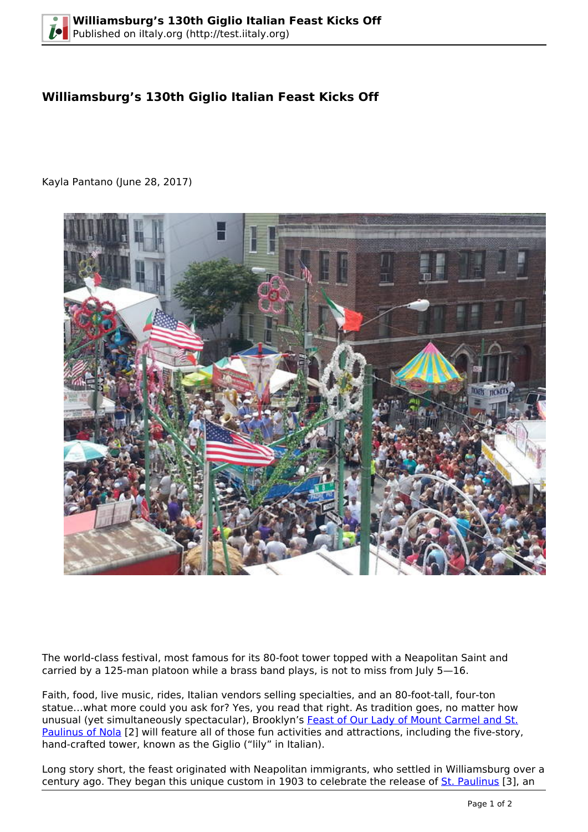## **Williamsburg's 130th Giglio Italian Feast Kicks Off**

Kayla Pantano (June 28, 2017)



The world-class festival, most famous for its 80-foot tower topped with a Neapolitan Saint and carried by a 125-man platoon while a brass band plays, is not to miss from July 5—16.

Faith, food, live music, rides, Italian vendors selling specialties, and an 80-foot-tall, four-ton statue…what more could you ask for? Yes, you read that right. As tradition goes, no matter how unusual (yet simultaneously spectacular), Brooklyn's [Feast of Our Lady of Mount Carmel and St.](http://www.olmcfeast.com) [Paulinus of Nola](http://www.olmcfeast.com) [2] will feature all of those fun activities and attractions, including the five-story, hand-crafted tower, known as the Giglio ("lily" in Italian).

Long story short, the feast originated with Neapolitan immigrants, who settled in Williamsburg over a century ago. They began this unique custom in 1903 to celebrate the release of [St. Paulinus](http://www.catholic.org/saints/saint.php?saint_id=5329) [3], an